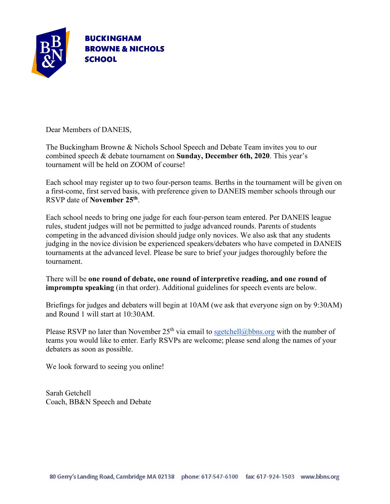

Dear Members of DANEIS,

The Buckingham Browne & Nichols School Speech and Debate Team invites you to our combined speech & debate tournament on **Sunday, December 6th, 2020**. This year's tournament will be held on ZOOM of course!

Each school may register up to two four-person teams. Berths in the tournament will be given on a first-come, first served basis, with preference given to DANEIS member schools through our RSVP date of **November 25th**.

Each school needs to bring one judge for each four-person team entered. Per DANEIS league rules, student judges will not be permitted to judge advanced rounds. Parents of students competing in the advanced division should judge only novices. We also ask that any students judging in the novice division be experienced speakers/debaters who have competed in DANEIS tournaments at the advanced level. Please be sure to brief your judges thoroughly before the tournament.

There will be **one round of debate, one round of interpretive reading, and one round of impromptu speaking** (in that order). Additional guidelines for speech events are below.

Briefings for judges and debaters will begin at 10AM (we ask that everyone sign on by 9:30AM) and Round 1 will start at 10:30AM.

Please RSVP no later than November  $25<sup>th</sup>$  via email to sgetchell@bbns.org with the number of teams you would like to enter. Early RSVPs are welcome; please send along the names of your debaters as soon as possible.

We look forward to seeing you online!

Sarah Getchell Coach, BB&N Speech and Debate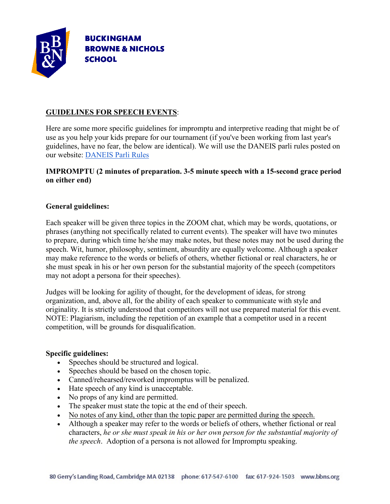

## **GUIDELINES FOR SPEECH EVENTS**:

Here are some more specific guidelines for impromptu and interpretive reading that might be of use as you help your kids prepare for our tournament (if you've been working from last year's guidelines, have no fear, the below are identical). We will use the DANEIS parli rules posted on our website: [DANEIS Parli Rules](http://daneis.org/wordpress/?page_id=31)

### **IMPROMPTU (2 minutes of preparation. 3-5 minute speech with a 15-second grace period on either end)**

#### **General guidelines:**

Each speaker will be given three topics in the ZOOM chat, which may be words, quotations, or phrases (anything not specifically related to current events). The speaker will have two minutes to prepare, during which time he/she may make notes, but these notes may not be used during the speech. Wit, humor, philosophy, sentiment, absurdity are equally welcome. Although a speaker may make reference to the words or beliefs of others, whether fictional or real characters, he or she must speak in his or her own person for the substantial majority of the speech (competitors may not adopt a persona for their speeches).

Judges will be looking for agility of thought, for the development of ideas, for strong organization, and, above all, for the ability of each speaker to communicate with style and originality. It is strictly understood that competitors will not use prepared material for this event. NOTE: Plagiarism, including the repetition of an example that a competitor used in a recent competition, will be grounds for disqualification.

#### **Specific guidelines:**

- Speeches should be structured and logical.
- Speeches should be based on the chosen topic.
- Canned/rehearsed/reworked impromptus will be penalized.
- Hate speech of any kind is unacceptable.
- No props of any kind are permitted.
- The speaker must state the topic at the end of their speech.
- No notes of any kind, other than the topic paper are permitted during the speech.
- Although a speaker may refer to the words or beliefs of others, whether fictional or real characters, *he or she must speak in his or her own person for the substantial majority of the speech*. Adoption of a persona is not allowed for Impromptu speaking.